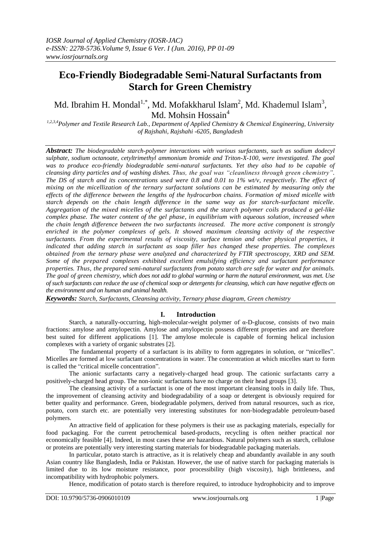# **Eco-Friendly Biodegradable Semi-Natural Surfactants from Starch for Green Chemistry**

# Md. Ibrahim H. Mondal<sup>1,\*</sup>, Md. Mofakkharul Islam<sup>2</sup>, Md. Khademul Islam<sup>3</sup>, Md. Mohsin Hossain<sup>4</sup>

*1,2,3,4Polymer and Textile Research Lab., Department of Applied Chemistry & Chemical Engineering, University of Rajshahi, Rajshahi -6205, Bangladesh*

*Abstract: The biodegradable starch-polymer interactions with various surfactants, such as sodium dodecyl sulphate, sodium octanoate, cetyltrimethyl ammonium bromide and Triton-X-100, were investigated. The goal was to produce eco-friendly biodegradable semi-natural surfactants. Yet they also had to be capable of cleansing dirty particles and of washing dishes. Thus, the goal was "cleanliness through green chemistry". The DS of starch and its concentrations used were 0.8 and 0.01 to 1% wt/v, respectively. The effect of mixing on the micellization of the ternary surfactant solutions can be estimated by measuring only the effects of the difference between the lengths of the hydrocarbon chains. Formation of mixed micelle with starch depends on the chain length difference in the same way as for starch-surfactant micelle. Aggregation of the mixed micelles of the surfactants and the starch polymer coils produced a gel-like complex phase. The water content of the gel phase, in equilibrium with aqueous solution, increased when the chain length difference between the two surfactants increased. The more active component is strongly enriched in the polymer complexes of gels. It showed maximum cleansing activity of the respective surfactants. From the experimental results of viscosity, surface tension and other physical properties, it indicated that adding starch in surfactant as soap filler has changed these properties. The complexes obtained from the ternary phase were analyzed and characterized by FTIR spectroscopy, XRD and SEM. Some of the prepared complexes exhibited excellent emulsifying efficiency and surfactant performance properties. Thus, the prepared semi-natural surfactants from potato starch are safe for water and for animals. The goal of green chemistry, which does not add to global warming or harm the natural environment, was met. Use of such surfactants can reduce the use of chemical soap or detergents for cleansing, which can have negative effects on the environment and on human and animal health.*

*Keywords: Starch, Surfactants, Cleansing activity, Ternary phase diagram, Green chemistry*

# **I. Introduction**

Starch, a naturally-occurring, high-molecular-weight polymer of α-D-glucose, consists of two main fractions: amylose and amylopectin. Amylose and amylopectin possess different properties and are therefore best suited for different applications [1]. The amylose molecule is capable of forming helical inclusion complexes with a variety of organic substrates [2].

The fundamental property of a surfactant is its ability to form aggregates in solution, or "micelles". Micelles are formed at low surfactant concentrations in water. The concentration at which micelles start to form is called the "critical micelle concentration".

The anionic surfactants carry a negatively-charged head group. The cationic surfactants carry a positively-charged head group. The non-ionic surfactants have no charge on their head groups [3].

The cleansing activity of a surfactant is one of the most important cleansing tools in daily life. Thus, the improvement of cleansing activity and biodegradability of a soap or detergent is obviously required for better quality and performance. Green, biodegradable polymers, derived from natural resources, such as rice, potato, corn starch etc. are potentially very interesting substitutes for non‐biodegradable petroleum‐based polymers.

An attractive field of application for these polymers is their use as packaging materials, especially for food packaging. For the current petrochemical based-products, recycling is often neither practical nor economically feasible [4]. Indeed, in most cases these are hazardous. Natural polymers such as starch, cellulose or proteins are potentially very interesting starting materials for biodegradable packaging materials.

In particular, potato starch is attractive, as it is relatively cheap and abundantly available in any south Asian country like Bangladesh, India or Pakistan. However, the use of native starch for packaging materials is limited due to its low moisture resistance, poor processibility (high viscosity), high brittleness, and incompatibility with hydrophobic polymers.

Hence, modification of potato starch is therefore required, to introduce hydrophobicity and to improve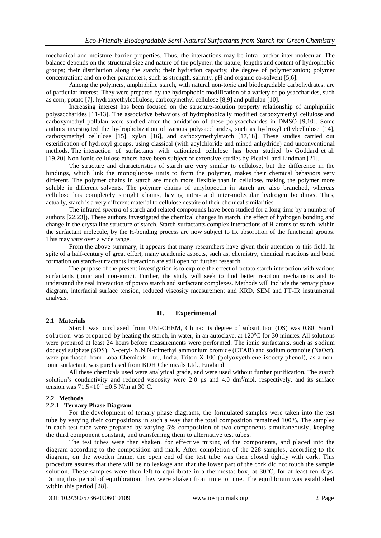mechanical and moisture barrier properties. Thus, the interactions may be intra- and/or inter-molecular. The balance depends on the structural size and nature of the polymer: the nature, lengths and content of hydrophobic groups; their distribution along the starch; their hydration capacity; the degree of polymerization; polymer concentration; and on other parameters, such as strength, salinity, pH and organic co-solvent [5,6].

Among the polymers, amphiphilic starch, with natural non-toxic and biodegradable carbohydrates, are of particular interest. They were prepared by the hydrophobic modification of a variety of polysaccharides, such as corn, potato [7], hydroxyethylcellulose, carboxymethyl cellulose [8,9] and pullulan [10].

Increasing interest has been focused on the structure-solution property relationship of amphiphilic polysaccharides [11-13]. The associative behaviors of hydrophobically modified carboxymethyl cellulose and carboxymethyl pollulan were studied after the amidation of these polysaccharides in DMSO [9,10]. Some authors investigated the hydrophobization of various polysaccharides, such as hydroxyl ethylcellulose [14], carboxymethyl cellulose [15], xylan [16], and carboxymethylstarch [17,18]. These studies carried out esterification of hydroxyl groups, using classical (with acylchloride and mixed anhydride) and unconventional methods. The interaction of surfactants with cationized cellulose has been studied by Goddard et al. [19,20] Non-ionic cellulose ethers have been subject of extensive studies by Piculell and Lindman [21].

The structure and characteristics of starch are very similar to cellulose, but the difference in the bindings, which link the monoglucose units to form the polymer, makes their chemical behaviors very different. The polymer chains in starch are much more flexible than in cellulose, making the polymer more soluble in different solvents. The polymer chains of amylopectin in starch are also branched, whereas cellulose has completely straight chains, having intra- and inter-molecular hydrogen bondings. Thus, actually, starch is a very different material to cellulose despite of their chemical similarities.

The infrared *spectra* of starch and related compounds have been studied for a long time by a number of authors [22,23]). These authors investigated the chemical changes in starch, the effect of hydrogen bonding and change in the crystalline structure of starch. Starch-surfactants complex interactions of H-atoms of starch, within the surfactant molecule, by the H-bonding process are now subject to IR absorption of the functional groups. This may vary over a wide range.

From the above summary, it appears that many researchers have given their attention to this field. In spite of a half-century of great effort, many academic aspects, such as, chemistry, chemical reactions and bond formation on starch-surfactants interaction are still open for further research.

The purpose of the present investigation is to explore the effect of potato starch interaction with various surfactants (ionic and non-ionic). Further, the study will seek to find better reaction mechanisms and to understand the real interaction of potato starch and surfactant complexes. Methods will include the ternary phase diagram, interfacial surface tension, reduced viscosity measurement and XRD, SEM and FT-IR instrumental analysis.

# **II. Experimental**

#### **2.1 Materials**

Starch was purchased from UNI-CHEM, China: its degree of substitution (DS) was 0.80. Starch solution was prepared by heating the starch, in water, in an autoclave, at 120°C for 30 minutes. All solutions were prepared at least 24 hours before measurements were performed. The ionic surfactants, such as sodium dodecyl sulphate (SDS), N-cetyl- N,N,N-trimethyl ammonium bromide (CTAB) and sodium octanoite (NaOct), were purchased from Loba Chemicals Ltd., India. Triton X-100 (polyoxyethlene isooctylphenol), as a nonionic surfactant, was purchased from BDH Chemicals Ltd., England.

All these chemicals used were analytical grade, and were used without further purification. The starch solution's conductivity and reduced viscosity were 2.0  $\mu$ s and 4.0 dm<sup>3</sup>/mol, respectively, and its surface tension was  $71.5 \times 10^{-3} \pm 0.5$  N/m at 30<sup>o</sup>C.

#### **2.2 Methods**

#### **2.2.1 Ternary Phase Diagram**

For the development of ternary phase diagrams, the formulated samples were taken into the test tube by varying their compositions in such a way that the total composition remained 100%. The samples in each test tube were prepared by varying 5% composition of two components simultaneously, keeping the third component constant, and transferring them to alternative test tubes.

The test tubes were then shaken, for effective mixing of the components, and placed into the diagram according to the composition and mark. After completion of the 228 samples, according to the diagram, on the wooden frame, the open end of the test tube was then closed tightly with cork. This procedure assures that there will be no leakage and that the lower part of the cork did not touch the sample solution. These samples were then left to equilibrate in a thermostat box, at  $30^{\circ}$ C, for at least ten days. During this period of equilibration, they were shaken from time to time. The equilibrium was established within this period [28].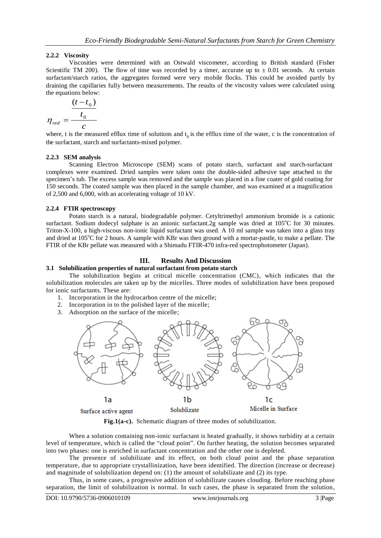## **2.2.2 Viscosity**

Viscosities were determined with an Ostwald viscometer, according to British standard (Fisher Scientific TM 200). The flow of time was recorded by a timer, accurate up to  $\pm$  0.01 seconds. At certain surfactant/starch ratios, the aggregates formed were very mobile flocks. This could be avoided partly by draining the capillaries fully between measurements. The results of the viscosity values were calculated using the equations below:

$$
\eta_{\text{red}} = \frac{\frac{(t - t_0)}{t_0}}{c}
$$

where, t is the measured efflux time of solutions and  $t_0$  is the efflux time of the water, c is the concentration of the surfactant, starch and surfactants-mixed polymer.

#### **2.2.3 SEM analysis**

Scanning Electron Microscope (SEM) scans of potato starch, surfactant and starch-surfactant complexes were examined. Dried samples were taken onto the double-sided adhesive tape attached to the specimen's tub. The excess sample was removed and the sample was placed in a fine coater of gold coating for 150 seconds. The coated sample was then placed in the sample chamber, and was examined at a magnification of 2,500 and 6,000, with an accelerating voltage of 10 kV.

#### **2.2.4 FTIR spectroscopy**

Potato starch is a natural, biodegradable polymer. Cetyltrimethyl ammonium bromide is a cationic surfactant. Sodium dodecyl sulphate is an anionic surfactant.2g sample was dried at 105°C for 30 minutes. Triton-X-100, a high-viscous non-ionic liquid surfactant was used. A 10 ml sample was taken into a glass tray and dried at 105<sup>o</sup>C for 2 hours. A sample with KBr was then ground with a mortar-pastle, to make a pellate. The FTIR of the KBr pellate was measured with a Shimadu FTIR-470 infra-red spectrophotometer (Japan).

## **III. Results And Discussion**

#### **3.1 Solubilization properties of natural surfactant from potato starch**

The solubilization begins at critical micelle concentration (CMC), which indicates that the solubilization molecules are taken up by the micelles. Three modes of solubilization have been proposed for ionic surfactants. These are:

- 1. Incorporation in the hydrocarbon centre of the micelle;
- 2. Incorporation in to the polished layer of the micelle;
- 3. Adsorption on the surface of the micelle;



Surface active agent

**Fig.1(a-c).** Schematic diagram of three modes of solubilization.

When a solution containing non-ionic surfactant is heated gradually, it shows turbidity at a certain level of temperature, which is called the "cloud point". On further heating, the solution becomes separated into two phases: one is enriched in surfactant concentration and the other one is depleted.

The presence of solubilizate and its effect, on both cloud point and the phase separation temperature, due to appropriate crystallinization, have been identified. The direction (increase or decrease) and magnitude of solubilization depend on: (1) the amount of solubilizate and (2) its type.

Thus, in some cases, a progressive addition of solubilizate causes clouding. Before reaching phase separation, the limit of solubilization is normal. In such cases, the phase is separated from the solution,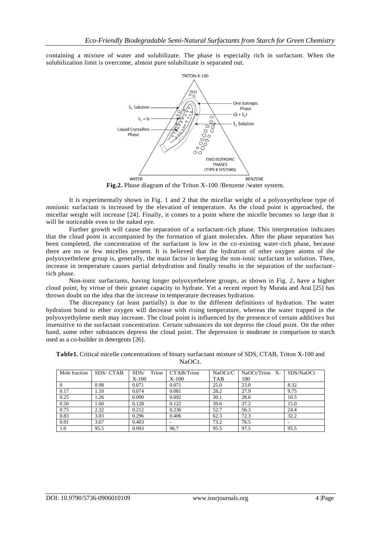containing a mixture of water and solubilizate. The phase is especially rich in surfactant. When the solubilization limit is overcome, almost pure solubilizate is separated out.



**Fig.2.** Phase diagram of the Triton X-100 /Benzene /water system.

It is experimentally shown in Fig. 1 and 2 that the micellar weight of a polyoxyethylene type of nonionic surfactant is increased by the elevation of temperature. As the cloud point is approached, the micellar weight will increase [24]. Finally, it comes to a point where the micelle becomes so large that it will be noticeable even to the naked eve.

Further growth will cause the separation of a surfactant-rich phase. This interpretation indicates that the cloud point is accompanied by the formation of giant molecules. After the phase separation has been completed, the concentration of the surfactant is low in the co-existing water-rich phase, because there are no or few micelles present. It is believed that the hydration of other oxygen atoms of the polyoxyethelene group is, generally, the main factor in keeping the non-ionic surfactant in solution. Then, increase in temperature causes partial dehydration and finally results in the separation of the surfactantrich phase.

Non-ionic surfactants, having longer polyoxyethelene groups, as shown in Fig. 2, have a higher cloud point, by virtue of their greater capacity to hydrate. Yet a recent report by Murata and Arai [25] has thrown doubt on the idea that the increase in temperature decreases hydration.

The discrepancy (at least partially) is due to the different definitions of hydration. The water hydration bond to ether oxygen will decrease with rising temperature, whereas the water trapped in the polyoxyethylene mesh may increase. The cloud point is influenced by the presence of certain additive s but insensitive to the surfactant concentration. Certain substances do not depress the cloud point. On the other hand, some other substances depress the cloud point. The depression is moderate in comparison to starch used as a co-builder in detergents [26].

| Table1. Critical micelle concentrations of binary surfactant mixture of SDS, CTAB, Triton X-100 and |        |  |  |
|-----------------------------------------------------------------------------------------------------|--------|--|--|
|                                                                                                     | NaOCt. |  |  |

| Mole fraction | SDS/CTAB | Trion<br>SDS/ | CTAB/Trion | NaOCt/C    | $NaOCt/Trion$ X- | SDS/NaOCt |
|---------------|----------|---------------|------------|------------|------------------|-----------|
|               |          | X-100         | $X-100$    | <b>TAB</b> | 100              |           |
| $\Omega$      | 0.98     | 0.071         | 0.071      | 25.0       | 23.0             | 8.32      |
| 0.17          | 1.10     | 0.074         | 0.081      | 28.2       | 27.9             | 9.75      |
| 0.25          | l.26     | 0.090         | 0.092      | 30.1       | 28.6             | 10.5      |
| 0.50          | 1.60     | 0.128         | 0.122      | 39.6       | 37.2             | 15.0      |
| 0.75          | 2.32     | 0.212         | 0.236      | 52.7       | 56.3             | 24.4      |
| 0.83          | 3.03     | 0.296         | 0.406      | 62.3       | 72.3             | 32.2      |
| 0.91          | 3.67     | 0.403         |            | 73.2       | 76.5             | -         |
| 1.0           | 95.5     | 0.993         | 96.7       | 95.5       | 97.5             | 95.5      |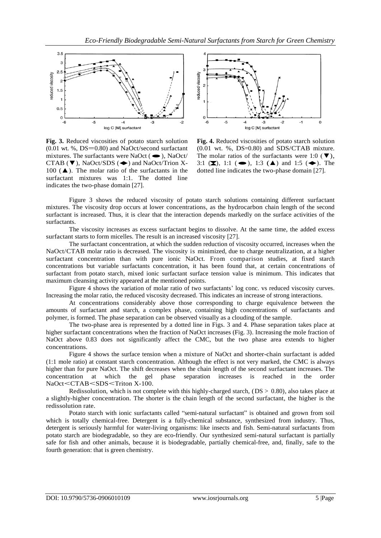

**Fig. 3.** Reduced viscosities of potato starch solution  $(0.01 \text{ wt. } %, DS=0.80)$  and NaOct/second surfactant  $(0.01 \text{ wt. } %)$ , DS=0.80) and NaOct/second surfactant<br>mixtures. The surfactants were NaOct ( $\bullet$ ), NaOct/ mixtures. The surfactants were NaOct ( $\bullet$ ), NaOct/<br>CTAB ( $\nabla$ ), NaOct/SDS ( $\bullet$ ) and NaOct/Trion X-100  $(A)$ . The molar ratio of the surfactants in the surfactant mixtures was 1:1. The dotted line indicates the two-phase domain [27].



**Fig. 4.** Reduced viscosities of potato starch solution  $(0.01 \text{ wt. } %, \text{ DS} = 0.80)$  and SDS/CTAB mixture. The molar ratios of the surfactants were 1:0 (▼), 3:1 (■), 1:1 (●), 1:3 (▲) and 1:5 (◆). The dotted line indicates the two-phase domain [27].

Figure 3 shows the reduced viscosity of potato starch solutions containing different surfactant mixtures. The viscosity drop occurs at lower concentrations, as the hydrocarbon chain length of the second surfactant is increased. Thus, it is clear that the interaction depends markedly on the surface activities of the surfactants.

The viscosity increases as excess surfactant begins to dissolve. At the same time, the added excess surfactant starts to form micelles. The result is an increased viscosity [27].

The surfactant concentration, at which the sudden reduction of viscosity occurred, increases when the NaOct/CTAB molar ratio is decreased. The viscosity is minimized, due to charge neutralization, at a higher surfactant concentration than with pure ionic NaOct. From comparison studies, at fixed starch concentrations but variable surfactants concentration, it has been found that, at certain concentrations of surfactant from potato starch, mixed ionic surfactant surface tension value is minimum. This indicates that maximum cleansing activity appeared at the mentioned points.

Figure 4 shows the variation of molar ratio of two surfactants' log conc. vs reduced viscosity curves. Increasing the molar ratio, the reduced viscosity decreased. This indicates an increase of strong interactions.

At concentrations considerably above those corresponding to charge equivalence between the amounts of surfactant and starch, a complex phase, containing high concentrations of surfactants and polymer, is formed. The phase separation can be observed visually as a clouding of the sample.

The two-phase area is represented by a dotted line in Figs. 3 and 4. Phase separation takes place at higher surfactant concentrations when the fraction of NaOct increases (Fig. 3). Increasing the mole fraction of NaOct above 0.83 does not significantly affect the CMC, but the two phase area extends to higher concentrations.

Figure 4 shows the surface tension when a mixture of NaOct and shorter-chain surfactant is added (1:1 mole ratio) at constant starch concentration. Although the effect is not very marked, the CMC is always higher than for pure NaOct. The shift decreases when the chain length of the second surfactant increases. The concentration at which the gel phase separation increases is reached in the order NaOct<CTAB<SDS<Triton X-100.

Redissolution, which is not complete with this highly-charged starch,  $(DS > 0.80)$ , also takes place at a slightly-higher concentration. The shorter is the chain length of the second surfactant, the higher is the redissolution rate.

Potato starch with ionic surfactants called "semi-natural surfactant" is obtained and grown from soil which is totally chemical-free. Detergent is a fully-chemical substance, synthesized from industry. Thus, detergent is seriously harmful for water-living organisms: like insects and fish. Semi-natural surfactants from potato starch are biodegradable, so they are eco-friendly. Our synthesized semi-natural surfactant is partially safe for fish and other animals, because it is biodegradable, partially chemical-free, and, finally, safe to the fourth generation: that is green chemistry.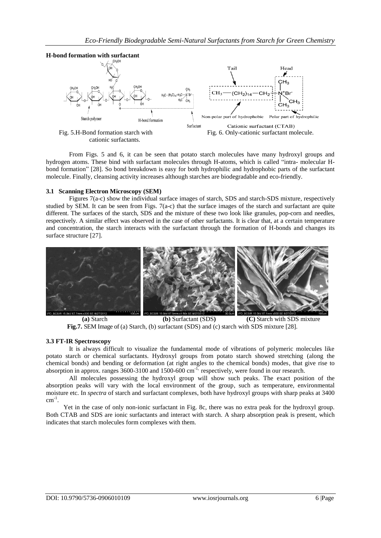

cationic surfactants.



From Figs. 5 and 6, it can be seen that potato starch molecules have many hydroxyl groups and hydrogen atoms. These bind with surfactant molecules through H-atoms, which is called "intra- molecular Hbond formation" [28]. So bond breakdown is easy for both hydrophilic and hydrophobic parts of the surfactant molecule. Finally, cleansing activity increases although starches are biodegradable and eco-friendly.

#### **3.1 Scanning Electron Microscopy (SEM)**

Figures 7(a-c) show the individual surface images of starch, SDS and starch-SDS mixture, respectively studied by SEM. It can be seen from Figs. 7(a-c) that the surface images of the starch and surfactant are quite different. The surfaces of the starch, SDS and the mixture of these two look like granules, pop-corn and needles, respectively. A similar effect was observed in the case of other surfactants. It is clear that, at a certain temperature and concentration, the starch interacts with the surfactant through the formation of H-bonds and changes its surface structure [27].



 **(a)** Starch **(b)** Surfactant (SDS**) (C)** Starch with SDS mixture **Fig.7.** SEM Image of (a) Starch, (b) surfactant (SDS) and (c) starch with SDS mixture [28].

#### **3.3 FT-IR Spectroscopy**

It is always difficult to visualize the fundamental mode of vibrations of polymeric molecules like potato starch or chemical surfactants. Hydroxyl groups from potato starch showed stretching (along the chemical bonds) and bending or deformation (at right angles to the chemical bonds) modes, that give rise to absorption in approx. ranges 3600-3100 and 1500-600 cm<sup>-1,</sup> respectively, were found in our research.

All molecules possessing the hydroxyl group will show such peaks. The exact position of the absorption peaks will vary with the local environment of the group, such as temperature, environmental moisture etc. In *spectra* of starch and surfactant complexes, both have hydroxyl groups with sharp peaks at 3400  $cm^{-1}$ .

Yet in the case of only non-ionic surfactant in Fig. 8c, there was no extra peak for the hydroxyl group. Both CTAB and SDS are ionic surfactants and interact with starch. A sharp absorption peak is present, which indicates that starch molecules form complexes with them.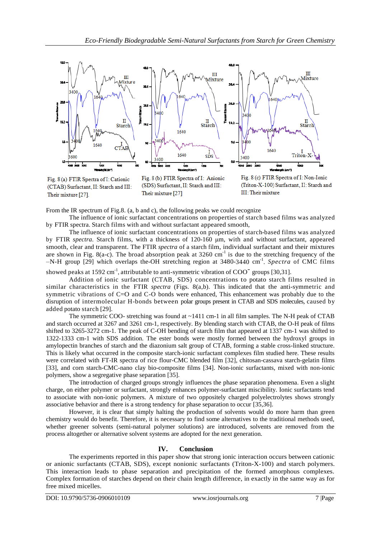

Fig. 8 (a) FTIR Spectra of I: Cationic (CTAB) Surfactant, II: Starch and III: Their mixture [27].

Fig. 8 (b) FTIR Spectra of I: Anionic (SDS) Surfactant, II: Starch and III: Their mixture [27]



From the IR spectrum of Fig.8. (a, b and c), the following peaks we could recognize

The influence of ionic surfactant concentrations on properties of starch based films was analyzed by FTIR spectra. Starch films with and without surfactant appeared smooth,

The influence of ionic surfactant concentrations on properties of starch-based films was analyzed by FTIR *spectra*. Starch films, with a thickness of 120-160 μm, with and without surfactant, appeared smooth, clear and transparent. The FTIR *spectra* of a starch film, individual surfactant and their mixtures are shown in Fig. 8(a-c). The broad absorption peak at  $3260 \text{ cm}^{-1}$  is due to the stretching frequency of the –N-H group [29] which overlaps the-OH stretching region at 3480-3440 cm-1 . *Spectra* of CMC films

showed peaks at 1592 cm<sup>-1</sup>, attributable to anti-symmetric vibration of  $COO<sup>-</sup>$  groups [30,31].

Addition of ionic surfactant (CTAB, SDS) concentrations to potato starch films resulted in similar characteristics in the FTIR *spectra* (Figs. 8(a,b). This indicated that the anti-symmetric and symmetric vibrations of C=O and C-O bonds were enhanced, This enhancement was probably due to the disruption of intermolecular H-bonds between polar groups present in CTAB and SDS molecules, caused by added potato starch [29].

The symmetric COO- stretching was found at ~1411 cm-1 in all film samples. The N-H peak of CTAB and starch occurred at 3267 and 3261 cm-1, respectively. By blending starch with CTAB, the O-H peak of films shifted to 3265-3272 cm-1. The peak of C-OH bending of starch film that appeared at 1337 cm-1 was shifted to 1322-1333 cm-1 with SDS addition. The ester bonds were mostly formed between the hydroxyl groups in amylopectin branches of starch and the diazonium salt group of CTAB, forming a stable cross-linked structure. This is likely what occurred in the composite starch-ionic surfactant complexes film studied here. These results were correlated with FT-IR spectra of rice flour-CMC blended film [32], chitosan-cassava starch-gelatin films [33], and corn starch-CMC-nano clay bio-composite films [34]. Non-ionic surfactants, mixed with non-ionic polymers, show a segregative phase separation [35].

The introduction of charged groups strongly influences the phase separation phenomena. Even a slight charge, on either polymer or surfactant, strongly enhances polymer-surfactant miscibility. Ionic surfactants tend to associate with non-ionic polymers. A mixture of two oppositely charged polyelectrolytes shows strongly associative behavior and there is a strong tendency for phase separation to occur [35,36].

However, it is clear that simply halting the production of solvents would do more harm than green chemistry would do benefit. Therefore, it is necessary to find some alternatives to the traditional methods used, whether greener solvents (semi-natural polymer solutions) are introduced, solvents are removed from the process altogether or alternative solvent systems are adopted for the next generation.

# **IV. Conclusion**

The experiments reported in this paper show that strong ionic interaction occurs between cationic or anionic surfactants (CTAB, SDS), except nonionic surfactants (Triton-X-100) and starch polymers. This interaction leads to phase separation and precipitation of the formed amorphous complexes. Complex formation of starches depend on their chain length difference, in exactly in the same way as for free mixed micelles.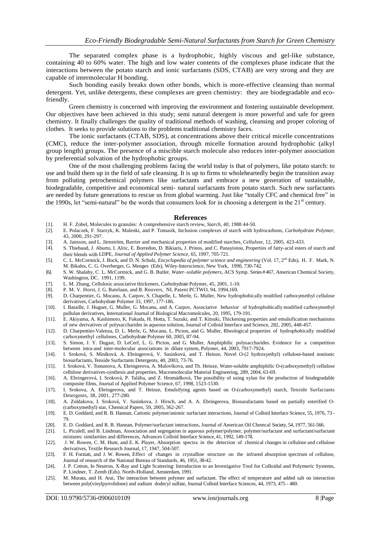The separated complex phase is a hydrophobic, highly viscous and gel-like substance, containing 40 to 60% water. The high and low water contents of the complexes phase indicate that the interactions between the potato starch and ionic surfactants (SDS, CTAB) are very strong and they are capable of intermolecular H bonding.

Such bonding easily breaks down other bonds, which is more-effective cleansing than normal detergent. Yet, unlike detergents, these complexes are green chemistry: they are biodegradable and ecofriendly.

Green chemistry is concerned with improving the environment and fostering sustainable development. Our objectives have been achieved in this study; semi natural detergent is more powerful and safe for green chemistry. It finally challenges the quality of traditional methods of washing, cleansing and proper coloring of clothes. It seeks to provide solutions to the problems traditional chemistry faces.

The ionic surfactants (CTAB, SDS), at concentrations above their critical micelle concentrations (CMC), reduce the inter-polymer association, through micelle formation around hydrophobic (alkyl group length) groups. The presence of a miscible starch molecule also reduces inter-polymer association by preferential solvation of the hydrophobic groups.

One of the most challenging problems facing the world today is that of polymers, like potato starch: to use and build them up in the field of safe cleansing. It is up to firms to wholeheartedly begin the transition away from polluting petrochemical polymers like surfactants and embrace a new generation of sustainable, biodegradable, competitive and economical semi- natural surfactants from potato starch. Such new surfactants are needed by future generations to rescue us from global warming. Just like "totally CFC and chemical free" in the 1990s, let "semi-natural" be the words that consumers look for in choosing a detergent in the  $21<sup>st</sup>$  century.

#### **References**

- [1]. H. F. Zobel, Molecules to granules: A comprehensive starch review, *Starch, 40,* 1988 44-50.
- [2]. E. Polaczek, F. Starzyk, K. Malenki, and P. Tomasik, Inclusion complexes of starch with hydrocarbons, *Carbohydrate Polymer*, 43, 2000, 291-297.
- 
- [3]. A. Jansson, and L. Järnström, Barrier and mechanical properties of modified starches, *Cellulose*, 12, 2005, 423-433. [4]. S. Thiebaud, J. Aburto, I. Alric, E. Borredon, D. Bikiaris, J. Prinos, and C. Panayiotou, Properties of fatty‐acid esters of starch and their blends with LDPE, *Journal of Applied Polymer Science*, 65, 1997, 705‐721.
- [5]. C. L. McCormick, J. Bock, and D. N. Schulz, *Encyclopedia of polymer science and engineering* (Vol. 17, 2nd Edn), H. F. Mark, N. M. Bikales, C. G. Overberger, G. Menges (Eds), Wiley-Interscience, New York, 1990, 730-742.
- [6]. S. W. Shalaby, C. L. McCormick, and G. B. Butler, *Water–soluble polymers*, ACS Symp. Series # 467, American Chemical Society, Washington, DC. 1991, 1199.
- [7]. L. M. Zhang, Cellulosic associative thickeners, Carbohydrate Polymer, 45, 2001, 1-10.
- [8]. P. M. V. Horst, J. G. Batelaan, and B. Reuvers, NL Patent PCTWO, 94, 1994,169.
- [9]. D. Charpentier, G. Mocanu, A. Carpov, S. Chapelle, L. Merle, G. Muller, New hydrophobically modified carboxymethyl cellulose derivatives, Carbohydrate Polymer 33, 1997, 177-186.
- [10]. I. Bataille, J. Huguet, G. Muller, G. Mocanu, and A. Carpov, Associative behavior of hydrophobically modified carboxymethyl pullulan derivatives, International Journal of Biological Macromolcules, 20, 1995, 179-191.
- [11]. E. Akiyama, A. Kashimoto, K. Fukuda, H. Hotta, T. Suzuki, and T. Kitsuki, Thickening properties and emulsification mechanisms of new derivatives of polysaccharides in aqueous solution, Journal of Colloid Interface and Science, 282, 2005, 448-457.
- [12]. D. Charpentier-Valenza, D. L. Merle, G. Mocanu, L. Picton, and G. Muller, Rheological properties of hydrophobically modified carboxymethyl celluloses, Carbohydrate Polymer 60, 2005, 87-94.
- [13]. S. Simon, J. Y. Dugast, D. LeCerf, L. G. Picton, and G. Muller, Amphiphilic polysaccharides. Evidence for a competition between intra-and inter-molecular associations in dilute system, Polymer, 44, 2003, 7917-7924.
- [14]. I. Sroková, S. Miníková, A. Ebringerová, V. Sasinková, and T. Heinze, Novel O-(2 hydroxyethyl) cellulose-based nonionic biosurfactants, Tenside Surfactants Detergents, 40, 2003, 73-76.
- [15]. I. Sroková, V. Tomanova, A. Ebringerova, A. Malovíkova, and Th. Heinze, Water-soluble amphiphilic O-(carboxymethyl) cellulose cellulose derivatives-synthesis and properties, Macromolecular Material Engineering, 289, 2004, 63-69.
- [16]. A. Ebringerová, I. Sroková, P. Talába, and Z. Hromádková, The possibility of using xylan for the production of biodegradable composite films, Journal of Applied Polymer Science, 67, 1998, 1523-1530.
- [17]. I. Srokova, A. Ebringerova, and T. Heinze, Emulsifying agents based on O-(carboxymethyl) starch, Tenside Surfactants Detergents, 38, 2001, 277-280.
- [18]. A. Zoldakova, I. Sroková, V. Sasinkova, J. Hirsch, and A. A. Ebringerova, Biosurafactants based on partially esterified O- (carboxymethyl) star, Chemical Papers, 59, 2005, 362-267.
- [19]. E. D. Goddard, and R. B. Hannan, Cationic polymer/anionic surfactant interactions, Journal of Colloid Interface Science, 55, 1976, 73 79.
- [20]. E. D. Goddard, and R. B. Hannan, Polymer/surfactant interactions, Journal of American Oil Chemcal Society, 54, 1977, 561-566.
- [21]. L. Piculell, and B. Lindman, Association and segregation in aqueous polymer/polymer, polymer/surfactant and surfactant/surfactant mixtures: similarities and differences, Advances Colloid Interface Science, 41, 1992, 149-178.
- [22]. J. W. Rowen, C. M. Hunt, and E. K. Player, Absorption spectra in the detection of chemical changes in cellulose and cellulose derivatives, Textile Research Journal, 17, 1947, 504-507.
- [23]. F. H. Forziati, and J. W. Rowen, Effect of changes in crystalline structure on the infrared absorption spectrum of cellulose, Journal of research of the National Bureau of Standards, 46, 1951, 38-42.
- [24]. J. P. Cotton, In Neutron, X-Ray and Light Scattering: Introduction to an Investigative Tool for Colloidal and Polymeric Systems, P. Lindner, T. Zemb (Eds). North-Holland, Amsterdam, 1991.
- [25]. M. Murata, and H. Arai, The interaction between polymer and surfactant. The effect of temperature and added salt on interaction between poly(vinylpyrrolidone) and sodium dodecyl sulfate, Journal Colloid Interface Sciences, 44, 1973, 475 - 480.